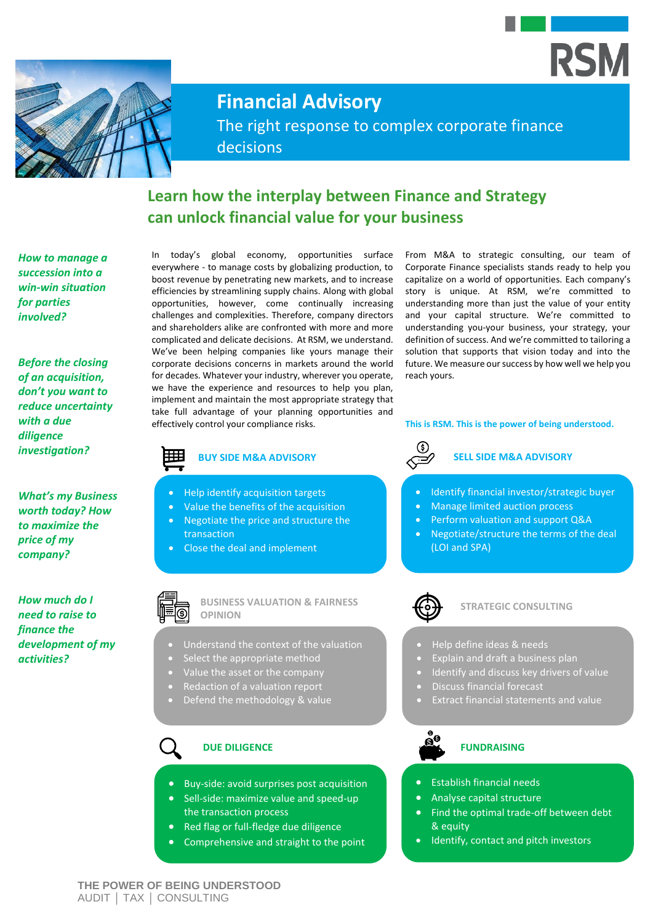



**Financial Advisory**

The right response to complex corporate finance decisions

## **Learn how the interplay between Finance and Strategy can unlock financial value for your business**

*How to manage a succession into a win-win situation for parties involved?*

*Before the closing of an acquisition, don't you want to reduce uncertainty with a due diligence investigation?*

*What's my Business worth today? How to maximize the price of my company?*

*How much do I need to raise to finance the development of my activities?* 

In today's global economy, opportunities surface everywhere - to manage costs by globalizing production, to boost revenue by penetrating new markets, and to increase efficiencies by streamlining supply chains. Along with global opportunities, however, come continually increasing challenges and complexities. Therefore, company directors and shareholders alike are confronted with more and more complicated and delicate decisions. At RSM, we understand. We've been helping companies like yours manage their corporate decisions concerns in markets around the world for decades. Whatever your industry, wherever you operate, we have the experience and resources to help you plan, implement and maintain the most appropriate strategy that take full advantage of your planning opportunities and effectively control your compliance risks.

> • Help identify acquisition targets • Value the benefits of the acquisition • Negotiate the price and structure the

• Close the deal and implement

**BUSINESS VALUATION & FAIRNESS** 

• Understand the context of the valuation

• Buy-side: avoid surprises post acquisition • Sell-side: maximize value and speed-up

• Red flag or full-fledge due diligence • Comprehensive and straight to the point

the transaction process

Select the appropriate method • Value the asset or the company • Redaction of a valuation report • Defend the methodology & value

transaction

**OPINION**

From M&A to strategic consulting, our team of Corporate Finance specialists stands ready to help you capitalize on a world of opportunities. Each company's story is unique. At RSM, we're committed to understanding more than just the value of your entity and your capital structure. We're committed to understanding you-your business, your strategy, your definition of success. And we're committed to tailoring a solution that supports that vision today and into the future. We measure our success by how well we help you reach yours.

#### **This is RSM. This is the power of being understood.**

# **BUY SIDE M&A ADVISORY SELL SIDE M&A ADVISORY**

- Identify financial investor/strategic buyer
- Manage limited auction process
- Perform valuation and support Q&A
- Negotiate/structure the terms of the deal (LOI and SPA)



#### **STRATEGIC CONSULTING**

- Help define ideas & needs
- Explain and draft a business plan
- Identify and discuss key drivers of value
- Discuss financial forecast
- Extract financial statements and value



### **DUE DILIGENCE FUNDRAISING**

- Establish financial needs
- Analyse capital structure
- Find the optimal trade-off between debt & equity
- Identify, contact and pitch investors